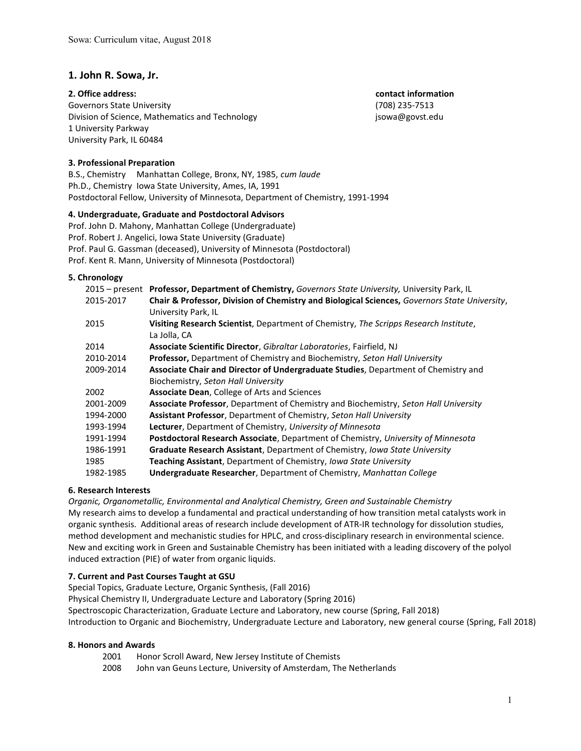# 1. John R. Sowa, Jr.

Governors State University (708) 235-7513 Division of Science, Mathematics and Technology isowa@govst.edu 1 University Parkway University Park, IL 60484

2. Office address: contact information and  $\overline{a}$  and  $\overline{b}$  contact information

## 3. Professional Preparation

B.S., Chemistry Manhattan College, Bronx, NY, 1985, cum laude Ph.D., Chemistry Iowa State University, Ames, IA, 1991 Postdoctoral Fellow, University of Minnesota, Department of Chemistry, 1991-1994

#### 4. Undergraduate, Graduate and Postdoctoral Advisors

Prof. John D. Mahony, Manhattan College (Undergraduate) Prof. Robert J. Angelici, Iowa State University (Graduate) Prof. Paul G. Gassman (deceased), University of Minnesota (Postdoctoral) Prof. Kent R. Mann, University of Minnesota (Postdoctoral)

#### 5. Chronology

|           | 2015 – present Professor, Department of Chemistry, Governors State University, University Park, IL                   |
|-----------|----------------------------------------------------------------------------------------------------------------------|
| 2015-2017 | Chair & Professor, Division of Chemistry and Biological Sciences, Governors State University,<br>University Park, IL |
| 2015      | Visiting Research Scientist, Department of Chemistry, The Scripps Research Institute,                                |
|           | La Jolla, CA                                                                                                         |
| 2014      | Associate Scientific Director, Gibraltar Laboratories, Fairfield, NJ                                                 |
| 2010-2014 | Professor, Department of Chemistry and Biochemistry, Seton Hall University                                           |
| 2009-2014 | Associate Chair and Director of Undergraduate Studies, Department of Chemistry and                                   |
|           | Biochemistry, Seton Hall University                                                                                  |
| 2002      | <b>Associate Dean, College of Arts and Sciences</b>                                                                  |
| 2001-2009 | <b>Associate Professor, Department of Chemistry and Biochemistry, Seton Hall University</b>                          |
| 1994-2000 | <b>Assistant Professor, Department of Chemistry, Seton Hall University</b>                                           |
| 1993-1994 | <b>Lecturer</b> , Department of Chemistry, University of Minnesota                                                   |
| 1991-1994 | Postdoctoral Research Associate, Department of Chemistry, University of Minnesota                                    |
| 1986-1991 | Graduate Research Assistant, Department of Chemistry, Iowa State University                                          |
| 1985      | Teaching Assistant, Department of Chemistry, Iowa State University                                                   |
| 1982-1985 | Undergraduate Researcher, Department of Chemistry, Manhattan College                                                 |

## 6. Research Interests

Organic, Organometallic, Environmental and Analytical Chemistry, Green and Sustainable Chemistry My research aims to develop a fundamental and practical understanding of how transition metal catalysts work in organic synthesis. Additional areas of research include development of ATR-IR technology for dissolution studies, method development and mechanistic studies for HPLC, and cross-disciplinary research in environmental science. New and exciting work in Green and Sustainable Chemistry has been initiated with a leading discovery of the polyol induced extraction (PIE) of water from organic liquids.

# 7. Current and Past Courses Taught at GSU

Special Topics, Graduate Lecture, Organic Synthesis, (Fall 2016)

Physical Chemistry II, Undergraduate Lecture and Laboratory (Spring 2016)

Spectroscopic Characterization, Graduate Lecture and Laboratory, new course (Spring, Fall 2018) Introduction to Organic and Biochemistry, Undergraduate Lecture and Laboratory, new general course (Spring, Fall 2018)

#### 8. Honors and Awards

- 2001 Honor Scroll Award, New Jersey Institute of Chemists
- 2008 John van Geuns Lecture, University of Amsterdam, The Netherlands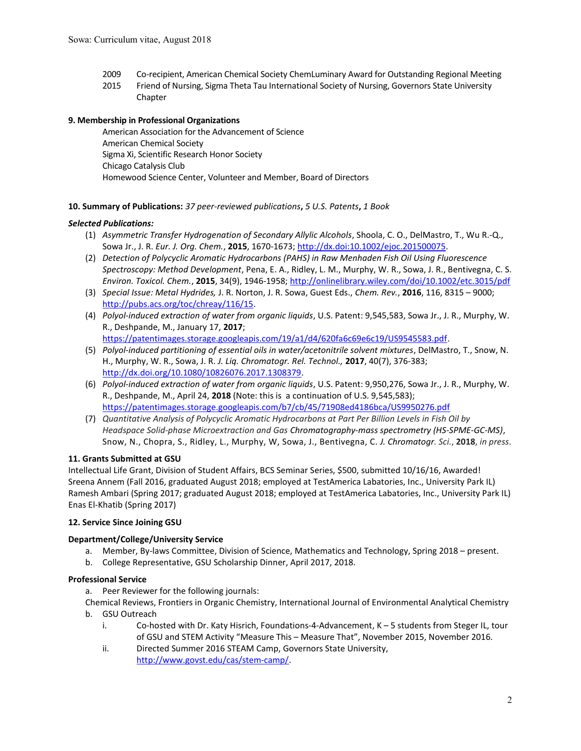- 2009 Co-recipient, American Chemical Society ChemLuminary Award for Outstanding Regional Meeting
- 2015 Friend of Nursing, Sigma Theta Tau International Society of Nursing, Governors State University Chapter

# 9. Membership in Professional Organizations

American Association for the Advancement of Science American Chemical Society Sigma Xi, Scientific Research Honor Society Chicago Catalysis Club Homewood Science Center, Volunteer and Member, Board of Directors

# 10. Summary of Publications: 37 peer-reviewed publications, 5 U.S. Patents, 1 Book

# Selected Publications:

- (1) Asymmetric Transfer Hydrogenation of Secondary Allylic Alcohols, Shoola, C. O., DelMastro, T., Wu R.-Q., Sowa Jr., J. R. Eur. J. Org. Chem., 2015, 1670-1673; http://dx.doi:10.1002/ejoc.201500075.
- (2) Detection of Polycyclic Aromatic Hydrocarbons (PAHS) in Raw Menhaden Fish Oil Using Fluorescence Spectroscopy: Method Development, Pena, E. A., Ridley, L. M., Murphy, W. R., Sowa, J. R., Bentivegna, C. S. Environ. Toxicol. Chem., 2015, 34(9), 1946-1958; http://onlinelibrary.wiley.com/doi/10.1002/etc.3015/pdf
- (3) Special Issue: Metal Hydrides, J. R. Norton, J. R. Sowa, Guest Eds., Chem. Rev., 2016, 116, 8315 9000; http://pubs.acs.org/toc/chreay/116/15.
- (4) Polyol-induced extraction of water from organic liquids, U.S. Patent: 9,545,583, Sowa Jr., J. R., Murphy, W. R., Deshpande, M., January 17, 2017; https://patentimages.storage.googleapis.com/19/a1/d4/620fa6c69e6c19/US9545583.pdf.
- (5) Polyol-induced partitioning of essential oils in water/acetonitrile solvent mixtures, DelMastro, T., Snow, N. H., Murphy, W. R., Sowa, J. R. J. Liq. Chromatogr. Rel. Technol., 2017, 40(7), 376-383; http://dx.doi.org/10.1080/10826076.2017.1308379.
- (6) Polyol-induced extraction of water from organic liquids, U.S. Patent: 9,950,276, Sowa Jr., J. R., Murphy, W. R., Deshpande, M., April 24, 2018 (Note: this is a continuation of U.S. 9,545,583); https://patentimages.storage.googleapis.com/b7/cb/45/71908ed4186bca/US9950276.pdf
- (7) Quantitative Analysis of Polycyclic Aromatic Hydrocarbons at Part Per Billion Levels in Fish Oil by Headspace Solid-phase Microextraction and Gas Chromatography-mass spectrometry (HS-SPME-GC-MS), Snow, N., Chopra, S., Ridley, L., Murphy, W, Sowa, J., Bentivegna, C. J. Chromatogr. Sci., 2018, in press.

# 11. Grants Submitted at GSU

Intellectual Life Grant, Division of Student Affairs, BCS Seminar Series, \$500, submitted 10/16/16, Awarded! Sreena Annem (Fall 2016, graduated August 2018; employed at TestAmerica Labatories, Inc., University Park IL) Ramesh Ambari (Spring 2017; graduated August 2018; employed at TestAmerica Labatories, Inc., University Park IL) Enas El-Khatib (Spring 2017)

# 12. Service Since Joining GSU

# Department/College/University Service

- a. Member, By-laws Committee, Division of Science, Mathematics and Technology, Spring 2018 present.
- b. College Representative, GSU Scholarship Dinner, April 2017, 2018.

# Professional Service

a. Peer Reviewer for the following journals:

Chemical Reviews, Frontiers in Organic Chemistry, International Journal of Environmental Analytical Chemistry b. GSU Outreach

- i. Co-hosted with Dr. Katy Hisrich, Foundations-4-Advancement, K 5 students from Steger IL, tour of GSU and STEM Activity "Measure This – Measure That", November 2015, November 2016.
- ii. Directed Summer 2016 STEAM Camp, Governors State University, http://www.govst.edu/cas/stem-camp/.